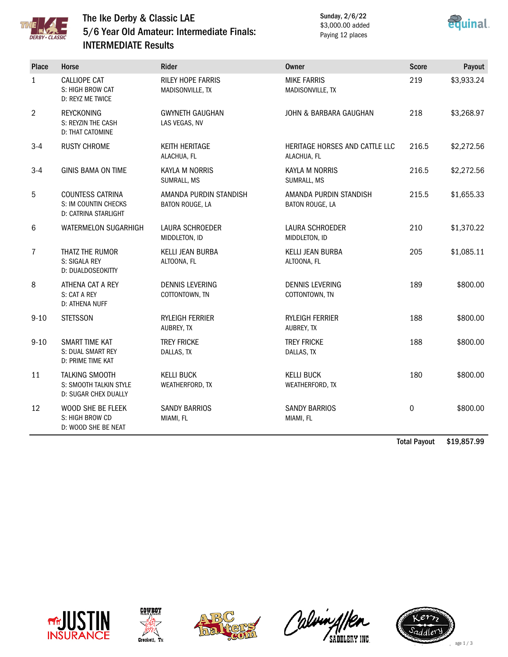

## The Ike Derby & Classic LAE 5/6 Year Old Amateur: Intermediate Finals: INTERMEDIATE Results

Sunday, 2/6/22 \$3,000.00 added Paying 12 places



| <b>Place</b>   | Horse                                                                   | Rider                                        | <b>Owner</b>                                  | <b>Score</b>     | Payout     |
|----------------|-------------------------------------------------------------------------|----------------------------------------------|-----------------------------------------------|------------------|------------|
| $\mathbf{1}$   | <b>CALLIOPE CAT</b><br>S: HIGH BROW CAT<br>D: REYZ ME TWICE             | <b>RILEY HOPE FARRIS</b><br>MADISONVILLE, TX | <b>MIKE FARRIS</b><br>MADISONVILLE, TX        | 219              | \$3,933.24 |
| $\overline{2}$ | <b>REYCKONING</b><br>S: REYZIN THE CASH<br><b>D: THAT CATOMINE</b>      | <b>GWYNETH GAUGHAN</b><br>LAS VEGAS, NV      | JOHN & BARBARA GAUGHAN                        | 218              | \$3,268.97 |
| $3 - 4$        | <b>RUSTY CHROME</b>                                                     | KEITH HERITAGE<br>ALACHUA, FL                | HERITAGE HORSES AND CATTLE LLC<br>ALACHUA, FL | 216.5            | \$2,272.56 |
| $3 - 4$        | <b>GINIS BAMA ON TIME</b>                                               | <b>KAYLA M NORRIS</b><br>SUMRALL, MS         | KAYLA M NORRIS<br>SUMRALL, MS                 | 216.5            | \$2,272.56 |
| 5              | COUNTESS CATRINA<br>S: IM COUNTIN CHECKS<br><b>D: CATRINA STARLIGHT</b> | AMANDA PURDIN STANDISH<br>BATON ROUGE, LA    | AMANDA PURDIN STANDISH<br>BATON ROUGE, LA     | 215.5            | \$1,655.33 |
| 6              | WATERMELON SUGARHIGH                                                    | <b>LAURA SCHROEDER</b><br>MIDDLETON, ID      | LAURA SCHROEDER<br>MIDDLETON, ID              | 210              | \$1,370.22 |
| $\overline{7}$ | THATZ THE RUMOR<br>S: SIGALA REY<br>D: DUALDOSEOKITTY                   | <b>KELLI JEAN BURBA</b><br>ALTOONA, FL       | <b>KELLI JEAN BURBA</b><br>ALTOONA, FL        | 205              | \$1,085.11 |
| 8              | ATHENA CAT A REY<br>S: CAT A REY<br>D: ATHENA NUFF                      | <b>DENNIS LEVERING</b><br>COTTONTOWN, TN     | <b>DENNIS LEVERING</b><br>COTTONTOWN, TN      | 189              | \$800.00   |
| $9 - 10$       | <b>STETSSON</b>                                                         | RYLEIGH FERRIER<br>AUBREY, TX                | RYLEIGH FERRIER<br>AUBREY, TX                 | 188              | \$800.00   |
| $9 - 10$       | <b>SMART TIME KAT</b><br>S: DUAL SMART REY<br>D: PRIME TIME KAT         | <b>TREY FRICKE</b><br>DALLAS, TX             | <b>TREY FRICKE</b><br>DALLAS, TX              | 188              | \$800.00   |
| 11             | <b>TALKING SMOOTH</b><br>S: SMOOTH TALKIN STYLE<br>D: SUGAR CHEX DUALLY | <b>KELLI BUCK</b><br>WEATHERFORD, TX         | <b>KELLI BUCK</b><br>WEATHERFORD, TX          | 180              | \$800.00   |
| 12             | WOOD SHE BE FLEEK<br>S: HIGH BROW CD<br>D: WOOD SHE BE NEAT             | <b>SANDY BARRIOS</b><br>MIAMI, FL            | <b>SANDY BARRIOS</b><br>MIAMI, FL             | $\boldsymbol{0}$ | \$800.00   |

Total Payout \$19,857.99









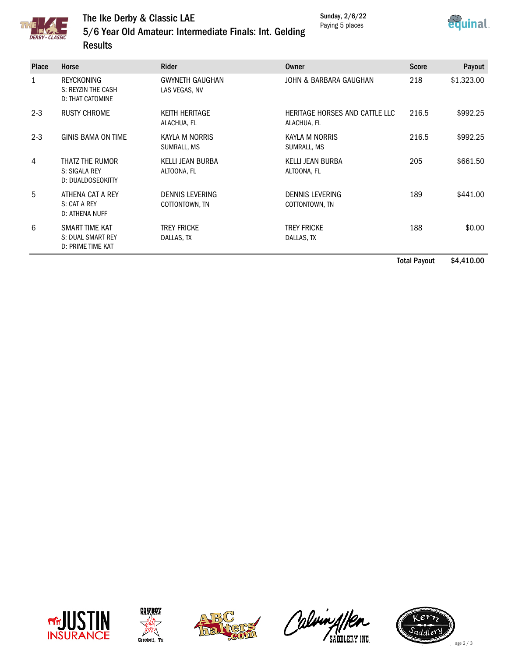Sunday, 2/6/22 Paying 5 places





## The Ike Derby & Classic LAE 5/6 Year Old Amateur: Intermediate Finals: Int. Gelding **Results**

| Place   | Horse                                                              | <b>Rider</b>                            | Owner                                         | <b>Score</b> | Payout     |
|---------|--------------------------------------------------------------------|-----------------------------------------|-----------------------------------------------|--------------|------------|
| 1       | <b>REYCKONING</b><br>S: REYZIN THE CASH<br><b>D: THAT CATOMINE</b> | <b>GWYNETH GAUGHAN</b><br>LAS VEGAS, NV | JOHN & BARBARA GAUGHAN                        | 218          | \$1,323.00 |
| $2 - 3$ | <b>RUSTY CHROME</b>                                                | <b>KFITH HFRITAGF</b><br>ALACHUA, FL    | HERITAGE HORSES AND CATTLE LLC<br>ALACHUA, FL | 216.5        | \$992.25   |
| $2 - 3$ | <b>GINIS BAMA ON TIME</b>                                          | KAYLA M NORRIS<br>SUMRALL, MS           | KAYLA M NORRIS<br>SUMRALL, MS                 | 216.5        | \$992.25   |
| 4       | THATZ THE RUMOR<br>S: SIGALA REY<br>D: DUALDOSEOKITTY              | <b>KELLI JEAN BURBA</b><br>ALTOONA, FL  | KELLI JEAN BURBA<br>ALTOONA, FL               | 205          | \$661.50   |
| 5       | ATHENA CAT A REY<br>S: CAT A REY<br>D: ATHENA NUFF                 | DENNIS LEVERING<br>COTTONTOWN, TN       | DENNIS LEVERING<br>COTTONTOWN, TN             | 189          | \$441.00   |
| 6       | SMART TIME KAT<br>S: DUAL SMART REY<br>D: PRIME TIME KAT           | <b>TREY FRICKE</b><br>DALLAS, TX        | <b>TREY FRICKE</b><br>DALLAS, TX              | 188          | \$0.00     |

Total Payout \$4,410.00